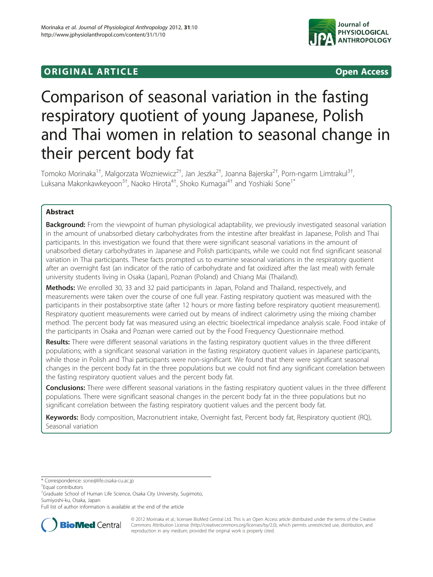# **ORIGINAL ARTICLE CONSUMING A RESERVE AND LODGE ACCESS**



# Comparison of seasonal variation in the fasting respiratory quotient of young Japanese, Polish and Thai women in relation to seasonal change in their percent body fat

Tomoko Morinaka<sup>1†</sup>, Malgorzata Wozniewicz<sup>2†</sup>, Jan Jeszka<sup>2†</sup>, Joanna Bajerska<sup>2†</sup>, Porn-ngarm Limtrakul<sup>3†</sup> , Luksana Makonkawkeyoon<sup>3†</sup>, Naoko Hirota<sup>4†</sup>, Shoko Kumagai<sup>4†</sup> and Yoshiaki Sone<sup>1\*</sup>

# Abstract

**Background:** From the viewpoint of human physiological adaptability, we previously investigated seasonal variation in the amount of unabsorbed dietary carbohydrates from the intestine after breakfast in Japanese, Polish and Thai participants. In this investigation we found that there were significant seasonal variations in the amount of unabsorbed dietary carbohydrates in Japanese and Polish participants, while we could not find significant seasonal variation in Thai participants. These facts prompted us to examine seasonal variations in the respiratory quotient after an overnight fast (an indicator of the ratio of carbohydrate and fat oxidized after the last meal) with female university students living in Osaka (Japan), Poznan (Poland) and Chiang Mai (Thailand).

Methods: We enrolled 30, 33 and 32 paid participants in Japan, Poland and Thailand, respectively, and measurements were taken over the course of one full year. Fasting respiratory quotient was measured with the participants in their postabsorptive state (after 12 hours or more fasting before respiratory quotient measurement). Respiratory quotient measurements were carried out by means of indirect calorimetry using the mixing chamber method. The percent body fat was measured using an electric bioelectrical impedance analysis scale. Food intake of the participants in Osaka and Poznan were carried out by the Food Frequency Questionnaire method.

Results: There were different seasonal variations in the fasting respiratory quotient values in the three different populations; with a significant seasonal variation in the fasting respiratory quotient values in Japanese participants, while those in Polish and Thai participants were non-significant. We found that there were significant seasonal changes in the percent body fat in the three populations but we could not find any significant correlation between the fasting respiratory quotient values and the percent body fat.

Conclusions: There were different seasonal variations in the fasting respiratory quotient values in the three different populations. There were significant seasonal changes in the percent body fat in the three populations but no significant correlation between the fasting respiratory quotient values and the percent body fat.

Keywords: Body composition, Macronutrient intake, Overnight fast, Percent body fat, Respiratory quotient (RQ), Seasonal variation

\* Correspondence: [sone@life.osaka-cu.ac.jp](mailto:sone@life.osaka-cu.ac.jp) †

Equal contributors

<sup>1</sup>Graduate School of Human Life Science, Osaka City University, Sugimoto, Sumiyoshi-ku, Osaka, Japan

Full list of author information is available at the end of the article



© 2012 Morinaka et al.; licensee BioMed Central Ltd. This is an Open Access article distributed under the terms of the Creative Commons Attribution License (http://creativecommons.org/licenses/by/2.0), which permits unrestricted use, distribution, and reproduction in any medium, provided the original work is properly cited.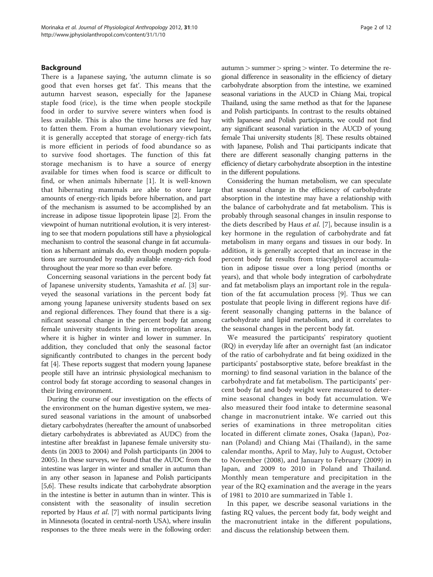# Background

There is a Japanese saying, 'the autumn climate is so good that even horses get fat'. This means that the autumn harvest season, especially for the Japanese staple food (rice), is the time when people stockpile food in order to survive severe winters when food is less available. This is also the time horses are fed hay to fatten them. From a human evolutionary viewpoint, it is generally accepted that storage of energy-rich fats is more efficient in periods of food abundance so as to survive food shortages. The function of this fat storage mechanism is to have a source of energy available for times when food is scarce or difficult to find, or when animals hibernate [\[1](#page-10-0)]. It is well-known that hibernating mammals are able to store large amounts of energy-rich lipids before hibernation, and part of the mechanism is assumed to be accomplished by an increase in adipose tissue lipoprotein lipase [\[2\]](#page-10-0). From the viewpoint of human nutritional evolution, it is very interesting to see that modern populations still have a physiological mechanism to control the seasonal change in fat accumulation as hibernant animals do, even though modern populations are surrounded by readily available energy-rich food throughout the year more so than ever before.

Concerning seasonal variations in the percent body fat of Japanese university students, Yamashita et al. [[3\]](#page-10-0) surveyed the seasonal variations in the percent body fat among young Japanese university students based on sex and regional differences. They found that there is a significant seasonal change in the percent body fat among female university students living in metropolitan areas, where it is higher in winter and lower in summer. In addition, they concluded that only the seasonal factor significantly contributed to changes in the percent body fat [[4\]](#page-10-0). These reports suggest that modern young Japanese people still have an intrinsic physiological mechanism to control body fat storage according to seasonal changes in their living environment.

During the course of our investigation on the effects of the environment on the human digestive system, we measured seasonal variations in the amount of unabsorbed dietary carbohydrates (hereafter the amount of unabsorbed dietary carbohydrates is abbreviated as AUDC) from the intestine after breakfast in Japanese female university students (in 2003 to 2004) and Polish participants (in 2004 to 2005). In these surveys, we found that the AUDC from the intestine was larger in winter and smaller in autumn than in any other season in Japanese and Polish participants [[5,6](#page-10-0)]. These results indicate that carbohydrate absorption in the intestine is better in autumn than in winter. This is consistent with the seasonality of insulin secretion reported by Haus et al. [\[7](#page-10-0)] with normal participants living in Minnesota (located in central-north USA), where insulin responses to the three meals were in the following order:  $autumn$  > summer > spring > winter. To determine the regional difference in seasonality in the efficiency of dietary carbohydrate absorption from the intestine, we examined seasonal variations in the AUCD in Chiang Mai, tropical Thailand, using the same method as that for the Japanese and Polish participants. In contrast to the results obtained with Japanese and Polish participants, we could not find any significant seasonal variation in the AUCD of young female Thai university students [[8](#page-10-0)]. These results obtained with Japanese, Polish and Thai participants indicate that there are different seasonally changing patterns in the efficiency of dietary carbohydrate absorption in the intestine in the different populations.

Considering the human metabolism, we can speculate that seasonal change in the efficiency of carbohydrate absorption in the intestine may have a relationship with the balance of carbohydrate and fat metabolism. This is probably through seasonal changes in insulin response to the diets described by Haus et al. [[7\]](#page-10-0), because insulin is a key hormone in the regulation of carbohydrate and fat metabolism in many organs and tissues in our body. In addition, it is generally accepted that an increase in the percent body fat results from triacylglycerol accumulation in adipose tissue over a long period (months or years), and that whole body integration of carbohydrate and fat metabolism plays an important role in the regulation of the fat accumulation process [\[9](#page-10-0)]. Thus we can postulate that people living in different regions have different seasonally changing patterns in the balance of carbohydrate and lipid metabolism, and it correlates to the seasonal changes in the percent body fat.

We measured the participants' respiratory quotient (RQ) in everyday life after an overnight fast (an indicator of the ratio of carbohydrate and fat being oxidized in the participants' postabsorptive state, before breakfast in the morning) to find seasonal variation in the balance of the carbohydrate and fat metabolism. The participants' percent body fat and body weight were measured to determine seasonal changes in body fat accumulation. We also measured their food intake to determine seasonal change in macronutrient intake. We carried out this series of examinations in three metropolitan cities located in different climate zones, Osaka (Japan), Poznan (Poland) and Chiang Mai (Thailand), in the same calendar months, April to May, July to August, October to November (2008), and January to February (2009) in Japan, and 2009 to 2010 in Poland and Thailand. Monthly mean temperature and precipitation in the year of the RQ examination and the average in the years of 1981 to 2010 are summarized in Table [1.](#page-2-0)

In this paper, we describe seasonal variations in the fasting RQ values, the percent body fat, body weight and the macronutrient intake in the different populations, and discuss the relationship between them.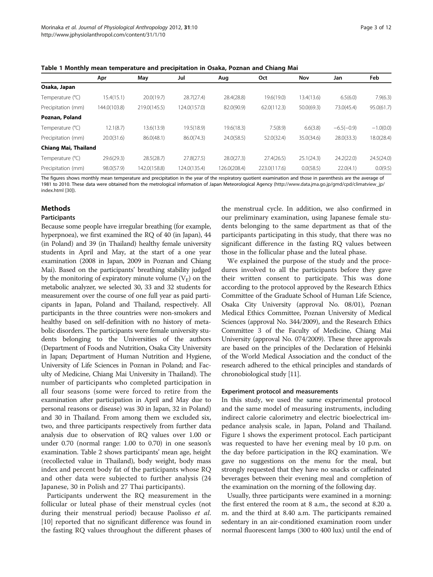<span id="page-2-0"></span>

|  |  | Table 1 Monthly mean temperature and precipitation in Osaka, Poznan and Chiang Mai |  |
|--|--|------------------------------------------------------------------------------------|--|
|--|--|------------------------------------------------------------------------------------|--|

|                             | Apr          | May          | Jul          | Aug          | Oct          | Nov        | Jan          | Feb         |
|-----------------------------|--------------|--------------|--------------|--------------|--------------|------------|--------------|-------------|
| Osaka, Japan                |              |              |              |              |              |            |              |             |
| Temperature (°C)            | 15.4(15.1)   | 20.0(19.7)   | 28.7(27.4)   | 28.4(28.8)   | 19.6(19.0)   | 13.4(13.6) | 6.5(6.0)     | 7.9(6.3)    |
| Precipitation (mm)          | 144.0(103.8) | 219.0(145.5) | 124.0(157.0) | 82.0(90.9)   | 62.0(112.3)  | 50.0(69.3) | 73.0(45.4)   | 95.0(61.7)  |
| Poznan, Poland              |              |              |              |              |              |            |              |             |
| Temperature (°C)            | 12.1(8.7)    | 13.6(13.9)   | 19.5(18.9)   | 19.6(18.3)   | 7.5(8.9)     | 6.6(3.8)   | $-6.5(-0.9)$ | $-1.0(0.0)$ |
| Precipitation (mm)          | 20.0(31.6)   | 86.0(48.1)   | 86.0(74.3)   | 24.0(58.5)   | 52.0(32.4)   | 35.0(34.6) | 28.0(33.3)   | 18.0(28.4)  |
| <b>Chiang Mai, Thailand</b> |              |              |              |              |              |            |              |             |
| Temperature (°C)            | 29.6(29.3)   | 28.5(28.7)   | 27.8(27.5)   | 28.0(27.3)   | 27.4(26.5)   | 25.1(24.3) | 24.2(22.0)   | 24.5(24.0)  |
| Precipitation (mm)          | 98.0(57.9)   | 142.0(158.8) | 124.0(135.4) | 126.0(208.4) | 223.0(117.6) | 0.0(58.5)  | 22.0(4.1)    | 0.0(9.5)    |

The figures shows monthly mean temperature and precipitation in the year of the respiratory quotient examination and those in parenthesis are the average of 1981 to 2010. These data were obtained from the metrological information of Japan Meteorological Agency ([http://www.data.jma.go.jp/gmd/cpd/climatview\\_jp/](http://www.data.jma.go.jp/gmd/cpd/climatview_jp/index.html) [index.html](http://www.data.jma.go.jp/gmd/cpd/climatview_jp/index.html) [[30\]](#page-11-0)).

#### Methods

#### Participants

Because some people have irregular breathing (for example, hyperpnoea), we first examined the RQ of 40 (in Japan), 44 (in Poland) and 39 (in Thailand) healthy female university students in April and May, at the start of a one year examination (2008 in Japan, 2009 in Poznan and Chiang Mai). Based on the participants' breathing stability judged by the monitoring of expiratory minute volume  $(V_E)$  on the metabolic analyzer, we selected 30, 33 and 32 students for measurement over the course of one full year as paid participants in Japan, Poland and Thailand, respectively. All participants in the three countries were non-smokers and healthy based on self-definition with no history of metabolic disorders. The participants were female university students belonging to the Universities of the authors (Department of Foods and Nutrition, Osaka City University in Japan; Department of Human Nutrition and Hygiene, University of Life Sciences in Poznan in Poland; and Faculty of Medicine, Chiang Mai University in Thailand). The number of participants who completed participation in all four seasons (some were forced to retire from the examination after participation in April and May due to personal reasons or disease) was 30 in Japan, 32 in Poland) and 30 in Thailand. From among them we excluded six, two, and three participants respectively from further data analysis due to observation of RQ values over 1.00 or under 0.70 (normal range: 1.00 to 0.70) in one season's examination. Table [2](#page-3-0) shows participants' mean age, height (recollected value in Thailand), body weight, body mass index and percent body fat of the participants whose RQ and other data were subjected to further analysis (24 Japanese, 30 in Polish and 27 Thai participants).

Participants underwent the RQ measurement in the follicular or luteal phase of their menstrual cycles (not during their menstrual period) because Paolisso *et al.* [[10\]](#page-10-0) reported that no significant difference was found in the fasting RQ values throughout the different phases of the menstrual cycle. In addition, we also confirmed in our preliminary examination, using Japanese female students belonging to the same department as that of the participants participating in this study, that there was no significant difference in the fasting RQ values between those in the follicular phase and the luteal phase.

We explained the purpose of the study and the procedures involved to all the participants before they gave their written consent to participate. This was done according to the protocol approved by the Research Ethics Committee of the Graduate School of Human Life Science, Osaka City University (approval No. 08/01), Poznan Medical Ethics Committee, Poznan University of Medical Sciences (approval No. 344/2009), and the Research Ethics Committee 3 of the Faculty of Medicine, Chiang Mai University (approval No. 074/2009). These three approvals are based on the principles of the Declaration of Helsinki of the World Medical Association and the conduct of the research adhered to the ethical principles and standards of chronobiological study [\[11\]](#page-10-0).

#### Experiment protocol and measurements

In this study, we used the same experimental protocol and the same model of measuring instruments, including indirect calorie calorimetry and electric bioelectrical impedance analysis scale, in Japan, Poland and Thailand. Figure [1](#page-3-0) shows the experiment protocol. Each participant was requested to have her evening meal by 10 p.m. on the day before participation in the RQ examination. We gave no suggestions on the menu for the meal, but strongly requested that they have no snacks or caffeinated beverages between their evening meal and completion of the examination on the morning of the following day.

Usually, three participants were examined in a morning: the first entered the room at 8 a.m., the second at 8.20 a. m. and the third at 8.40 a.m. The participants remained sedentary in an air-conditioned examination room under normal fluorescent lamps (300 to 400 lux) until the end of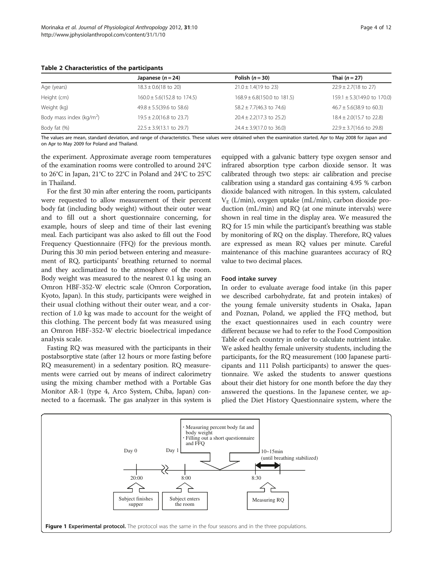<span id="page-3-0"></span>

|                             | Japanese $(n=24)$                        | Polish $(n=30)$                          | Thai $(n=27)$                            |
|-----------------------------|------------------------------------------|------------------------------------------|------------------------------------------|
| Age (years)                 | $18.3 \pm 0.6(18 \text{ to } 20)$        | $21.0 \pm 1.4(19 \text{ to } 23)$        | $22.9 \pm 2.7(18 \text{ to } 27)$        |
| Height (cm)                 | $160.0 \pm 5.6(152.8 \text{ to } 174.5)$ | $168.9 \pm 6.8(150.0 \text{ to } 181.5)$ | $159.1 \pm 5.3(149.0 \text{ to } 170.0)$ |
| Weight (kg)                 | $49.8 \pm 5.5(39.6 \text{ to } 58.6)$    | $58.2 \pm 7.7(46.3 \text{ to } 74.6)$    | $46.7 \pm 5.6(38.9)$ to 60.3)            |
| Body mass index ( $kg/m2$ ) | $19.5 \pm 2.0(16.8 \text{ to } 23.7)$    | $20.4 \pm 2.2(17.3 \text{ to } 25.2)$    | $18.4 \pm 2.0(15.7)$ to 22.8)            |
| Body fat (%)                | $22.5 \pm 3.9(13.1 \text{ to } 29.7)$    | $24.4 \pm 3.9(17.0 \text{ to } 36.0)$    | $22.9 \pm 3.7(16.6 \text{ to } 29.8)$    |

The values are mean, standard deviation, and range of characteristics. These values were obtained when the examination started, Apr to May 2008 for Japan and on Apr to May 2009 for Poland and Thailand.

the experiment. Approximate average room temperatures of the examination rooms were controlled to around 24°C to 26°C in Japan, 21°C to 22°C in Poland and 24°C to 25°C in Thailand.

For the first 30 min after entering the room, participants were requested to allow measurement of their percent body fat (including body weight) without their outer wear and to fill out a short questionnaire concerning, for example, hours of sleep and time of their last evening meal. Each participant was also asked to fill out the Food Frequency Questionnaire (FFQ) for the previous month. During this 30 min period between entering and measurement of RQ, participants' breathing returned to normal and they acclimatized to the atmosphere of the room. Body weight was measured to the nearest 0.1 kg using an Omron HBF-352-W electric scale (Omron Corporation, Kyoto, Japan). In this study, participants were weighed in their usual clothing without their outer wear, and a correction of 1.0 kg was made to account for the weight of this clothing. The percent body fat was measured using an Omron HBF-352-W electric bioelectrical impedance analysis scale.

Fasting RQ was measured with the participants in their postabsorptive state (after 12 hours or more fasting before RQ measurement) in a sedentary position. RQ measurements were carried out by means of indirect calorimetry using the mixing chamber method with a Portable Gas Monitor AR-1 (type 4, Arco System, Chiba, Japan) connected to a facemask. The gas analyzer in this system is

equipped with a galvanic battery type oxygen sensor and infrared absorption type carbon dioxide sensor. It was calibrated through two steps: air calibration and precise calibration using a standard gas containing 4.95 % carbon dioxide balanced with nitrogen. In this system, calculated  $V_E$  (L/min), oxygen uptake (mL/min), carbon dioxide production (mL/min) and RQ (at one minute intervals) were shown in real time in the display area. We measured the RQ for 15 min while the participant's breathing was stable by monitoring of RQ on the display. Therefore, RQ values are expressed as mean RQ values per minute. Careful maintenance of this machine guarantees accuracy of RQ value to two decimal places.

#### Food intake survey

In order to evaluate average food intake (in this paper we described carbohydrate, fat and protein intakes) of the young female university students in Osaka, Japan and Poznan, Poland, we applied the FFQ method, but the exact questionnaires used in each country were different because we had to refer to the Food Composition Table of each country in order to calculate nutrient intake. We asked healthy female university students, including the participants, for the RQ measurement (100 Japanese participants and 111 Polish participants) to answer the questionnaire. We asked the students to answer questions about their diet history for one month before the day they answered the questions. In the Japanese center, we applied the Diet History Questionnaire system, where the

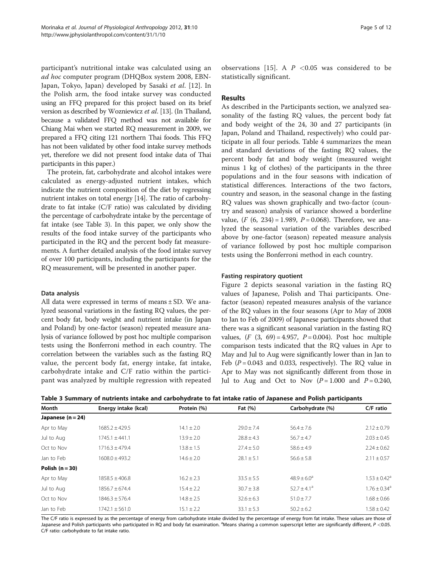<span id="page-4-0"></span>participant's nutritional intake was calculated using an ad hoc computer program (DHQBox system 2008, EBN-Japan, Tokyo, Japan) developed by Sasaki et al. [[12\]](#page-10-0). In the Polish arm, the food intake survey was conducted using an FFQ prepared for this project based on its brief version as described by Wozniewicz et al. [\[13\]](#page-10-0). (In Thailand, because a validated FFQ method was not available for Chiang Mai when we started RQ measurement in 2009, we prepared a FFQ citing 121 northern Thai foods. This FFQ has not been validated by other food intake survey methods yet, therefore we did not present food intake data of Thai participants in this paper.)

The protein, fat, carbohydrate and alcohol intakes were calculated as energy-adjusted nutrient intakes, which indicate the nutrient composition of the diet by regressing nutrient intakes on total energy [[14](#page-10-0)]. The ratio of carbohydrate to fat intake (C/F ratio) was calculated by dividing the percentage of carbohydrate intake by the percentage of fat intake (see Table 3). In this paper, we only show the results of the food intake survey of the participants who participated in the RQ and the percent body fat measurements. A further detailed analysis of the food intake survey of over 100 participants, including the participants for the RQ measurement, will be presented in another paper.

# Data analysis

All data were expressed in terms of means ± SD. We analyzed seasonal variations in the fasting RQ values, the percent body fat, body weight and nutrient intake (in Japan and Poland) by one-factor (season) repeated measure analysis of variance followed by post hoc multiple comparison tests using the Bonferroni method in each country. The correlation between the variables such as the fasting RQ value, the percent body fat, energy intake, fat intake, carbohydrate intake and C/F ratio within the participant was analyzed by multiple regression with repeated

observations [[15\]](#page-10-0). A  $P < 0.05$  was considered to be statistically significant.

# Results

As described in the Participants section, we analyzed seasonality of the fasting RQ values, the percent body fat and body weight of the 24, 30 and 27 participants (in Japan, Poland and Thailand, respectively) who could participate in all four periods. Table [4](#page-5-0) summarizes the mean and standard deviations of the fasting RQ values, the percent body fat and body weight (measured weight minus 1 kg of clothes) of the participants in the three populations and in the four seasons with indication of statistical differences. Interactions of the two factors, country and season, in the seasonal change in the fasting RQ values was shown graphically and two-factor (country and season) analysis of variance showed a borderline value,  $(F (6, 234) = 1.989, P = 0.068)$ . Therefore, we analyzed the seasonal variation of the variables described above by one-factor (season) repeated measure analysis of variance followed by post hoc multiple comparison tests using the Bonferroni method in each country.

# Fasting respiratory quotient

Figure [2](#page-5-0) depicts seasonal variation in the fasting RQ values of Japanese, Polish and Thai participants. Onefactor (season) repeated measures analysis of the variance of the RQ values in the four seasons (Apr to May of 2008 to Jan to Feb of 2009) of Japanese participants showed that there was a significant seasonal variation in the fasting RQ values,  $(F (3, 69) = 4.957, P = 0.004)$ . Post hoc multiple comparison tests indicated that the RQ values in Apr to May and Jul to Aug were significantly lower than in Jan to Feb  $(P = 0.043$  and 0.033, respectively). The RQ value in Apr to May was not significantly different from those in Jul to Aug and Oct to Nov  $(P=1.000$  and  $P=0.240$ ,

| Table 3 Summary of nutrients intake and carbohydrate to fat intake ratio of Japanese and Polish participants |  |  |
|--------------------------------------------------------------------------------------------------------------|--|--|
|                                                                                                              |  |  |

| Month               | Energy intake (kcal) | Protein (%)    | Fat $(\%)$     | Carbohydrate (%)            | C/F ratio                    |
|---------------------|----------------------|----------------|----------------|-----------------------------|------------------------------|
| Japanese $(n = 24)$ |                      |                |                |                             |                              |
| Apr to May          | $1685.2 \pm 429.5$   | $14.1 \pm 2.0$ | $29.0 \pm 7.4$ | $56.4 \pm 7.6$              | $2.12 \pm 0.79$              |
| Jul to Aug          | $1745.1 \pm 441.1$   | $13.9 \pm 2.0$ | $28.8 \pm 4.3$ | $56.7 \pm 4.7$              | $2.03 \pm 0.45$              |
| Oct to Nov          | $1716.3 \pm 479.4$   | $13.8 \pm 1.5$ | $27.4 \pm 5.0$ | $58.6 \pm 4.9$              | $2.24 \pm 0.62$              |
| Jan to Feb          | $1608.0 \pm 493.2$   | $14.6 \pm 2.0$ | $28.1 \pm 5.1$ | $56.6 \pm 5.8$              | $2.11 \pm 0.57$              |
| Polish $(n = 30)$   |                      |                |                |                             |                              |
| Apr to May          | $1858.5 \pm 406.8$   | $16.2 \pm 2.3$ | $33.5 \pm 5.5$ | $48.9 \pm 6.0$ <sup>a</sup> | $1.53 \pm 0.42$ <sup>a</sup> |
| Jul to Aug          | $1856.7 \pm 674.4$   | $15.4 \pm 2.2$ | $30.7 \pm 3.8$ | $52.7 \pm 4.1^a$            | $1.76 \pm 0.34^{\circ}$      |
| Oct to Nov          | $1846.3 \pm 576.4$   | $14.8 \pm 2.5$ | $32.6 \pm 6.3$ | $51.0 \pm 7.7$              | $1.68 \pm 0.66$              |
| Jan to Feb          | $1742.1 \pm 561.0$   | $15.1 \pm 2.2$ | $33.1 \pm 5.3$ | $50.2 \pm 6.2$              | $1.58 \pm 0.42$              |

The C/F ratio is expressed by as the percentage of energy from carbohydrate intake divided by the percentage of energy from fat intake. These values are those of Japanese and Polish participants who participated in RQ and body fat examination. <sup>a</sup>Means sharing a common superscript letter are significantly different, P <0.05.<br>C/F ratio: carbohydrate to fat intake ratio. C/F ratio: carbohydrate to fat intake ratio.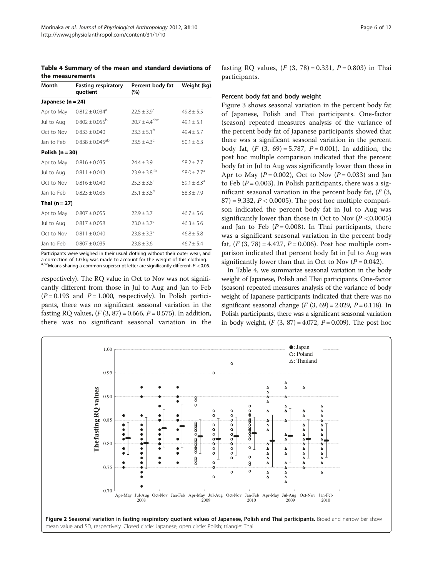<span id="page-5-0"></span>Table 4 Summary of the mean and standard deviations of the measurements

| Month<br><b>Fasting respiratory</b><br>quotient |                                | Percent body fat<br>(%) | Weight (kg)                 |  |
|-------------------------------------------------|--------------------------------|-------------------------|-----------------------------|--|
| Japanese $(n = 24)$                             |                                |                         |                             |  |
| Apr to May                                      | $0.812 \pm 0.034$ <sup>a</sup> | $22.5 \pm 3.9^a$        | $49.8 \pm 5.5$              |  |
| Jul to Aug                                      | $0.802 \pm 0.055^{\rm b}$      | $20.7 \pm 4.4^{abc}$    | $49.1 \pm 5.1$              |  |
| Oct to Nov                                      | $0.833 \pm 0.040$              | $23.3 \pm 5.1^{\circ}$  | $49.4 \pm 5.7$              |  |
| Jan to Feb                                      | $0.838 \pm 0.045^{ab}$         | $23.5 \pm 4.3^c$        | $50.1 \pm 6.3$              |  |
| Polish (n = 30)                                 |                                |                         |                             |  |
| Apr to May                                      | $0.816 \pm 0.035$              | $74.4 + 3.9$            | $58.2 + 7.7$                |  |
| Jul to Aug                                      | $0.811 \pm 0.043$              | $23.9 \pm 3.8^{ab}$     | $58.0 \pm 7.7^a$            |  |
| Oct to Nov                                      | $0.816 \pm 0.040$              | $25.3 \pm 3.8^a$        | 59.1 $\pm$ 8.3 <sup>a</sup> |  |
| Jan to Feb                                      | $0.823 + 0.035$                | $25.1 \pm 3.8^{b}$      | $58.3 \pm 7.9$              |  |
| Thai $(n=27)$                                   |                                |                         |                             |  |
| Apr to May                                      | $0.807 \pm 0.055$              | $22.9 \pm 3.7$          | $46.7 \pm 5.6$              |  |
| Jul to Aug                                      | $0.817 \pm 0.058$              | $23.0 \pm 3.7^a$        | $46.3 \pm 5.6$              |  |
| Oct to Nov                                      | $0.811 \pm 0.040$              | $23.8 \pm 3.3^a$        | $46.8 \pm 5.8$              |  |
| Jan to Feb                                      | $0.807 + 0.035$                | $23.8 \pm 3.6$          | $46.7 \pm 5.4$              |  |

Participants were weighed in their usual clothing without their outer wear, and a correction of 1.0 kg was made to account for the weight of this clothing. a,b,cMeans sharing a common superscript letter are significantly different,  $P < 0.05$ .

respectively). The RQ value in Oct to Nov was not significantly different from those in Jul to Aug and Jan to Feb  $(P = 0.193$  and  $P = 1.000$ , respectively). In Polish participants, there was no significant seasonal variation in the fasting RQ values,  $(F(3, 87) = 0.666, P = 0.575)$ . In addition, there was no significant seasonal variation in the fasting RQ values,  $(F(3, 78) = 0.331, P = 0.803)$  in Thai participants.

#### Percent body fat and body weight

Figure [3](#page-6-0) shows seasonal variation in the percent body fat of Japanese, Polish and Thai participants. One-factor (season) repeated measures analysis of the variance of the percent body fat of Japanese participants showed that there was a significant seasonal variation in the percent body fat,  $(F (3, 69) = 5.787, P = 0.001)$ . In addition, the post hoc multiple comparison indicated that the percent body fat in Jul to Aug was significantly lower than those in Apr to May  $(P = 0.002)$ , Oct to Nov  $(P = 0.033)$  and Jan to Feb ( $P = 0.003$ ). In Polish participants, there was a significant seasonal variation in the percent body fat,  $(F(3,$  $87$ ) = 9.332,  $P < 0.0005$ ). The post hoc multiple comparison indicated the percent body fat in Jul to Aug was significantly lower than those in Oct to Nov  $(P < 0.0005)$ and Jan to Feb  $(P = 0.008)$ . In Thai participants, there was a significant seasonal variation in the percent body fat,  $(F(3, 78) = 4.427, P = 0.006)$ . Post hoc multiple comparison indicated that percent body fat in Jul to Aug was significantly lower than that in Oct to Nov  $(P = 0.042)$ .

In Table 4, we summarize seasonal variation in the body weight of Japanese, Polish and Thai participants. One-factor (season) repeated measures analysis of the variance of body weight of Japanese participants indicated that there was no significant seasonal change (*F* (3, 69) = 2.029, *P* = 0.118). In Polish participants, there was a significant seasonal variation in body weight,  $(F (3, 87) = 4.072, P = 0.009)$ . The post hoc

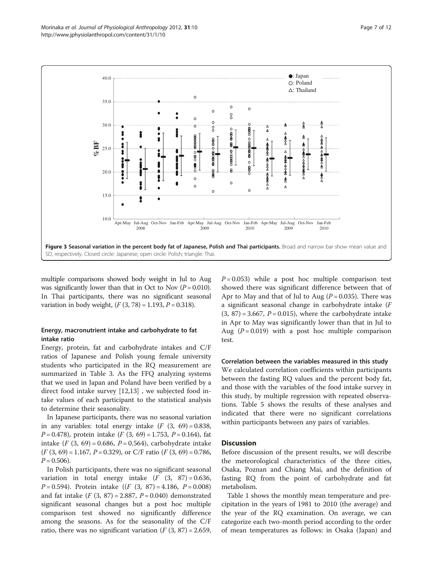<span id="page-6-0"></span>

multiple comparisons showed body weight in Jul to Aug was significantly lower than that in Oct to Nov  $(P = 0.010)$ . In Thai participants, there was no significant seasonal variation in body weight,  $(F(3, 78) = 1.193, P = 0.318)$ .

# Energy, macronutrient intake and carbohydrate to fat intake ratio

Energy, protein, fat and carbohydrate intakes and C/F ratios of Japanese and Polish young female university students who participated in the RQ measurement are summarized in Table [3.](#page-4-0) As the FFQ analyzing systems that we used in Japan and Poland have been verified by a direct food intake survey [[12](#page-10-0),[13](#page-10-0)] , we subjected food intake values of each participant to the statistical analysis to determine their seasonality.

In Japanese participants, there was no seasonal variation in any variables: total energy intake  $(F(3, 69) = 0.838,$  $P = 0.478$ , protein intake  $(F (3, 69) = 1.753, P = 0.164)$ , fat intake  $(F (3, 69) = 0.686, P = 0.564)$ , carbohydrate intake  $(F (3, 69) = 1.167, P = 0.329)$ , or C/F ratio  $(F (3, 69) = 0.786,$  $P = 0.506$ .

In Polish participants, there was no significant seasonal variation in total energy intake  $(F (3, 87) = 0.636,$  $P = 0.594$ . Protein intake  $((F (3, 87)) = 4.186, P = 0.008)$ and fat intake  $(F (3, 87) = 2.887, P = 0.040)$  demonstrated significant seasonal changes but a post hoc multiple comparison test showed no significantly difference among the seasons. As for the seasonality of the C/F ratio, there was no significant variation  $(F(3, 87) = 2.659)$ ,  $P = 0.053$ ) while a post hoc multiple comparison test showed there was significant difference between that of Apr to May and that of Jul to Aug ( $P = 0.035$ ). There was a significant seasonal change in carbohydrate intake (F  $(3, 87) = 3.667$ ,  $P = 0.015$ ), where the carbohydrate intake in Apr to May was significantly lower than that in Jul to Aug ( $P = 0.019$ ) with a post hoc multiple comparison test.

### Correlation between the variables measured in this study

We calculated correlation coefficients within participants between the fasting RQ values and the percent body fat, and those with the variables of the food intake survey in this study, by multiple regression with repeated observations. Table [5](#page-7-0) shows the results of these analyses and indicated that there were no significant correlations within participants between any pairs of variables.

# **Discussion**

Before discussion of the present results, we will describe the meteorological characteristics of the three cities, Osaka, Poznan and Chiang Mai, and the definition of fasting RQ from the point of carbohydrate and fat metabolism.

Table [1](#page-2-0) shows the monthly mean temperature and precipitation in the years of 1981 to 2010 (the average) and the year of the RQ examination. On average, we can categorize each two-month period according to the order of mean temperatures as follows: in Osaka (Japan) and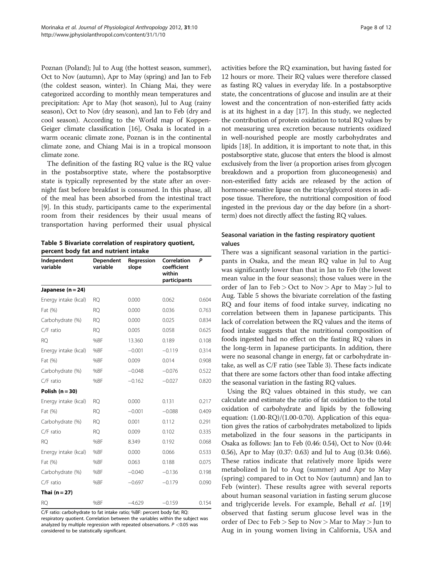<span id="page-7-0"></span>Poznan (Poland); Jul to Aug (the hottest season, summer), Oct to Nov (autumn), Apr to May (spring) and Jan to Feb (the coldest season, winter). In Chiang Mai, they were categorized according to monthly mean temperatures and precipitation: Apr to May (hot season), Jul to Aug (rainy season), Oct to Nov (dry season), and Jan to Feb (dry and cool season). According to the World map of Koppen-Geiger climate classification [\[16\]](#page-10-0), Osaka is located in a warm oceanic climate zone, Poznan is in the continental climate zone, and Chiang Mai is in a tropical monsoon climate zone.

The definition of the fasting RQ value is the RQ value in the postabsorptive state, where the postabsorptive state is typically represented by the state after an overnight fast before breakfast is consumed. In this phase, all of the meal has been absorbed from the intestinal tract [[9\]](#page-10-0). In this study, participants came to the experimental room from their residences by their usual means of transportation having performed their usual physical

| Table 5 Bivariate correlation of respiratory quotient, |  |
|--------------------------------------------------------|--|
| percent body fat and nutrient intake                   |  |

| Independent<br>variable | Dependent<br>variable | Regression<br>slope | Correlation<br>coefficient<br>within<br>participants | P     |
|-------------------------|-----------------------|---------------------|------------------------------------------------------|-------|
| Japanese (n = 24)       |                       |                     |                                                      |       |
| Energy intake (kcal)    | <b>RQ</b>             | 0.000               | 0.062                                                | 0.604 |
| Fat (%)                 | <b>RO</b>             | 0.000               | 0.036                                                | 0.763 |
| Carbohydrate (%)        | <b>RO</b>             | 0.000               | 0.025                                                | 0.834 |
| C/F ratio               | <b>RO</b>             | 0.005               | 0.058                                                | 0.625 |
| <b>RO</b>               | %BF                   | 13.360              | 0.189                                                | 0.108 |
| Energy intake (kcal)    | %BF                   | $-0.001$            | $-0.119$                                             | 0.314 |
| Fat (%)                 | %BF                   | 0.009               | 0.014                                                | 0.908 |
| Carbohydrate (%)        | %BF                   | $-0.048$            | $-0.076$                                             | 0.522 |
| C/F ratio               | %BF                   | $-0.162$            | $-0.027$                                             | 0.820 |
| Polish $(n = 30)$       |                       |                     |                                                      |       |
| Energy intake (kcal)    | <b>RO</b>             | 0.000               | 0.131                                                | 0.217 |
| Fat (%)                 | <b>RQ</b>             | $-0.001$            | $-0.088$                                             | 0.409 |
| Carbohydrate (%)        | <b>RQ</b>             | 0.001               | 0.112                                                | 0.291 |
| C/F ratio               | <b>RQ</b>             | 0.009               | 0.102                                                | 0.335 |
| <b>RQ</b>               | %BF                   | 8.349               | 0.192                                                | 0.068 |
| Energy intake (kcal)    | %BF                   | 0.000               | 0.066                                                | 0.533 |
| Fat (%)                 | %BF                   | 0.063               | 0.188                                                | 0.075 |
| Carbohydrate (%)        | %BF                   | $-0.040$            | $-0.136$                                             | 0.198 |
| C/F ratio               | %BF                   | $-0.697$            | $-0.179$                                             | 0.090 |
| Thai $(n=27)$           |                       |                     |                                                      |       |
| <b>RQ</b>               | %BF                   | $-4.629$            | $-0.159$                                             | 0.154 |

C/F ratio: carbohydrate to fat intake ratio; %BF: percent body fat; RQ: respiratory quotient. Correlation between the variables within the subject was analyzed by multiple regression with repeated observations.  $P < 0.05$  was considered to be statistically significant.

activities before the RQ examination, but having fasted for 12 hours or more. Their RQ values were therefore classed as fasting RQ values in everyday life. In a postabsorptive state, the concentrations of glucose and insulin are at their lowest and the concentration of non-esterified fatty acids is at its highest in a day [\[17](#page-10-0)]. In this study, we neglected the contribution of protein oxidation to total RQ values by not measuring urea excretion because nutrients oxidized in well-nourished people are mostly carbohydrates and lipids [\[18\]](#page-10-0). In addition, it is important to note that, in this postabsorptive state, glucose that enters the blood is almost exclusively from the liver (a proportion arises from glycogen breakdown and a proportion from gluconeogenesis) and non-esterified fatty acids are released by the action of hormone-sensitive lipase on the triacylglycerol stores in adipose tissue. Therefore, the nutritional composition of food ingested in the previous day or the day before (in a shortterm) does not directly affect the fasting RQ values.

# Seasonal variation in the fasting respiratory quotient values

There was a significant seasonal variation in the participants in Osaka, and the mean RQ value in Jul to Aug was significantly lower than that in Jan to Feb (the lowest mean value in the four seasons); those values were in the order of Jan to  $Feb > Oct$  to  $Nov > Apr$  to  $May > Jul$  to Aug. Table 5 shows the bivariate correlation of the fasting RQ and four items of food intake survey, indicating no correlation between them in Japanese participants. This lack of correlation between the RQ values and the items of food intake suggests that the nutritional composition of foods ingested had no effect on the fasting RQ values in the long-term in Japanese participants. In addition, there were no seasonal change in energy, fat or carbohydrate intake, as well as C/F ratio (see Table [3\)](#page-4-0). These facts indicate that there are some factors other than food intake affecting the seasonal variation in the fasting RQ values.

Using the RQ values obtained in this study, we can calculate and estimate the ratio of fat oxidation to the total oxidation of carbohydrate and lipids by the following equation:  $(1.00-RQ)/(1.00-0.70)$ . Application of this equation gives the ratios of carbohydrates metabolized to lipids metabolized in the four seasons in the participants in Osaka as follows: Jan to Feb (0.46: 0.54), Oct to Nov (0.44: 0.56), Apr to May (0.37: 0.63) and Jul to Aug (0.34: 0.66). These ratios indicate that relatively more lipids were metabolized in Jul to Aug (summer) and Apr to May (spring) compared to in Oct to Nov (autumn) and Jan to Feb (winter). These results agree with several reports about human seasonal variation in fasting serum glucose and triglyceride levels. For example, Behall et al. [\[19](#page-10-0)] observed that fasting serum glucose level was in the order of Dec to Feb > Sep to Nov > Mar to May > Jun to Aug in in young women living in California, USA and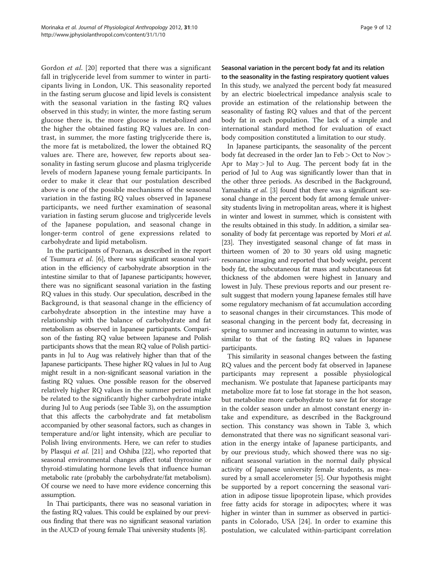Gordon et al. [[20\]](#page-10-0) reported that there was a significant fall in triglyceride level from summer to winter in participants living in London, UK. This seasonality reported in the fasting serum glucose and lipid levels is consistent with the seasonal variation in the fasting RQ values observed in this study; in winter, the more fasting serum glucose there is, the more glucose is metabolized and the higher the obtained fasting RQ values are. In contrast, in summer, the more fasting triglyceride there is, the more fat is metabolized, the lower the obtained RQ values are. There are, however, few reports about seasonality in fasting serum glucose and plasma triglyceride levels of modern Japanese young female participants. In order to make it clear that our postulation described above is one of the possible mechanisms of the seasonal variation in the fasting RQ values observed in Japanese participants, we need further examination of seasonal variation in fasting serum glucose and triglyceride levels of the Japanese population, and seasonal change in longer-term control of gene expressions related to carbohydrate and lipid metabolism.

In the participants of Poznan, as described in the report of Tsumura et al. [[6\]](#page-10-0), there was significant seasonal variation in the efficiency of carbohydrate absorption in the intestine similar to that of Japanese participants; however, there was no significant seasonal variation in the fasting RQ values in this study. Our speculation, described in the Background, is that seasonal change in the efficiency of carbohydrate absorption in the intestine may have a relationship with the balance of carbohydrate and fat metabolism as observed in Japanese participants. Comparison of the fasting RQ value between Japanese and Polish participants shows that the mean RQ value of Polish participants in Jul to Aug was relatively higher than that of the Japanese participants. These higher RQ values in Jul to Aug might result in a non-significant seasonal variation in the fasting RQ values. One possible reason for the observed relatively higher RQ values in the summer period might be related to the significantly higher carbohydrate intake during Jul to Aug periods (see Table [3](#page-4-0)), on the assumption that this affects the carbohydrate and fat metabolism accompanied by other seasonal factors, such as changes in temperature and/or light intensity, which are peculiar to Polish living environments. Here, we can refer to studies by Plasqui et al. [\[21\]](#page-10-0) and Oshiba [\[22](#page-10-0)], who reported that seasonal environmental changes affect total thyroxine or thyroid-stimulating hormone levels that influence human metabolic rate (probably the carbohydrate/fat metabolism). Of course we need to have more evidence concerning this assumption.

In Thai participants, there was no seasonal variation in the fasting RQ values. This could be explained by our previous finding that there was no significant seasonal variation in the AUCD of young female Thai university students [[8](#page-10-0)].

Seasonal variation in the percent body fat and its relation to the seasonality in the fasting respiratory quotient values In this study, we analyzed the percent body fat measured by an electric bioelectrical impedance analysis scale to provide an estimation of the relationship between the seasonality of fasting RQ values and that of the percent body fat in each population. The lack of a simple and international standard method for evaluation of exact body composition constituted a limitation to our study.

In Japanese participants, the seasonality of the percent body fat decreased in the order Jan to Feb > Oct to Nov > Apr to  $May$  > Jul to Aug. The percent body fat in the period of Jul to Aug was significantly lower than that in the other three periods. As described in the Background, Yamashita et al. [\[3](#page-10-0)] found that there was a significant seasonal change in the percent body fat among female university students living in metropolitan areas, where it is highest in winter and lowest in summer, which is consistent with the results obtained in this study. In addition, a similar seasonality of body fat percentage was reported by Mori et al. [[23](#page-11-0)]. They investigated seasonal change of fat mass in thirteen women of 20 to 30 years old using magnetic resonance imaging and reported that body weight, percent body fat, the subcutaneous fat mass and subcutaneous fat thickness of the abdomen were highest in January and lowest in July. These previous reports and our present result suggest that modern young Japanese females still have some regulatory mechanism of fat accumulation according to seasonal changes in their circumstances. This mode of seasonal changing in the percent body fat, decreasing in spring to summer and increasing in autumn to winter, was similar to that of the fasting RQ values in Japanese participants.

This similarity in seasonal changes between the fasting RQ values and the percent body fat observed in Japanese participants may represent a possible physiological mechanism. We postulate that Japanese participants may metabolize more fat to lose fat storage in the hot season, but metabolize more carbohydrate to save fat for storage in the colder season under an almost constant energy intake and expenditure, as described in the Background section. This constancy was shown in Table [3,](#page-4-0) which demonstrated that there was no significant seasonal variation in the energy intake of Japanese participants, and by our previous study, which showed there was no significant seasonal variation in the normal daily physical activity of Japanese university female students, as measured by a small accelerometer [[5\]](#page-10-0). Our hypothesis might be supported by a report concerning the seasonal variation in adipose tissue lipoprotein lipase, which provides free fatty acids for storage in adipocytes; where it was higher in winter than in summer as observed in participants in Colorado, USA [\[24\]](#page-11-0). In order to examine this postulation, we calculated within-participant correlation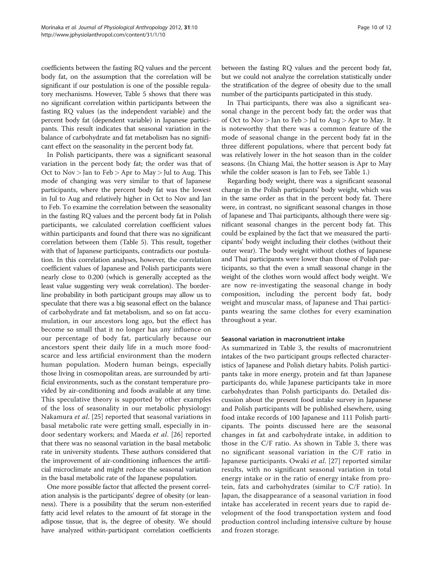coefficients between the fasting RQ values and the percent body fat, on the assumption that the correlation will be significant if our postulation is one of the possible regulatory mechanisms. However, Table [5](#page-7-0) shows that there was no significant correlation within participants between the fasting RQ values (as the independent variable) and the percent body fat (dependent variable) in Japanese participants. This result indicates that seasonal variation in the balance of carbohydrate and fat metabolism has no significant effect on the seasonality in the percent body fat.

In Polish participants, there was a significant seasonal variation in the percent body fat; the order was that of Oct to  $Nov$  > Jan to  $Feb$  > Apr to  $May$  > Jul to Aug. This mode of changing was very similar to that of Japanese participants, where the percent body fat was the lowest in Jul to Aug and relatively higher in Oct to Nov and Jan to Feb. To examine the correlation between the seasonality in the fasting RQ values and the percent body fat in Polish participants, we calculated correlation coefficient values within participants and found that there was no significant correlation between them (Table [5\)](#page-7-0). This result, together with that of Japanese participants, contradicts our postulation. In this correlation analyses, however, the correlation coefficient values of Japanese and Polish participants were nearly close to 0.200 (which is generally accepted as the least value suggesting very weak correlation). The borderline probability in both participant groups may allow us to speculate that there was a big seasonal effect on the balance of carbohydrate and fat metabolism, and so on fat accumulation, in our ancestors long ago, but the effect has become so small that it no longer has any influence on our percentage of body fat, particularly because our ancestors spent their daily life in a much more foodscarce and less artificial environment than the modern human population. Modern human beings, especially those living in cosmopolitan areas, are surrounded by artificial environments, such as the constant temperature provided by air-conditioning and foods available at any time. This speculative theory is supported by other examples of the loss of seasonality in our metabolic physiology: Nakamura et al. [\[25](#page-11-0)] reported that seasonal variations in basal metabolic rate were getting small, especially in indoor sedentary workers; and Maeda et al. [[26\]](#page-11-0) reported that there was no seasonal variation in the basal metabolic rate in university students. These authors considered that the improvement of air-conditioning influences the artificial microclimate and might reduce the seasonal variation in the basal metabolic rate of the Japanese population.

One more possible factor that affected the present correlation analysis is the participants' degree of obesity (or leanness). There is a possibility that the serum non-esterified fatty acid level relates to the amount of fat storage in the adipose tissue, that is, the degree of obesity. We should have analyzed within-participant correlation coefficients

between the fasting RQ values and the percent body fat, but we could not analyze the correlation statistically under the stratification of the degree of obesity due to the small number of the participants participated in this study.

In Thai participants, there was also a significant seasonal change in the percent body fat; the order was that of Oct to Nov > Jan to Feb > Jul to Aug > Apr to May. It is noteworthy that there was a common feature of the mode of seasonal change in the percent body fat in the three different populations, where that percent body fat was relatively lower in the hot season than in the colder seasons. (In Chiang Mai, the hotter season is Apr to May while the colder season is Jan to Feb, see Table [1](#page-2-0).)

Regarding body weight, there was a significant seasonal change in the Polish participants' body weight, which was in the same order as that in the percent body fat. There were, in contrast, no significant seasonal changes in those of Japanese and Thai participants, although there were significant seasonal changes in the percent body fat. This could be explained by the fact that we measured the participants' body weight including their clothes (without their outer wear). The body weight without clothes of Japanese and Thai participants were lower than those of Polish participants, so that the even a small seasonal change in the weight of the clothes worn would affect body weight. We are now re-investigating the seasonal change in body composition, including the percent body fat, body weight and muscular mass, of Japanese and Thai participants wearing the same clothes for every examination throughout a year.

#### Seasonal variation in macronutrient intake

As summarized in Table [3](#page-4-0), the results of macronutrient intakes of the two participant groups reflected characteristics of Japanese and Polish dietary habits. Polish participants take in more energy, protein and fat than Japanese participants do, while Japanese participants take in more carbohydrates than Polish participants do. Detailed discussion about the present food intake survey in Japanese and Polish participants will be published elsewhere, using food intake records of 100 Japanese and 111 Polish participants. The points discussed here are the seasonal changes in fat and carbohydrate intake, in addition to those in the C/F ratio. As shown in Table [3](#page-4-0), there was no significant seasonal variation in the C/F ratio in Japanese participants. Owaki et al. [\[27](#page-11-0)] reported similar results, with no significant seasonal variation in total energy intake or in the ratio of energy intake from protein, fats and carbohydrates (similar to C/F ratio). In Japan, the disappearance of a seasonal variation in food intake has accelerated in recent years due to rapid development of the food transportation system and food production control including intensive culture by house and frozen storage.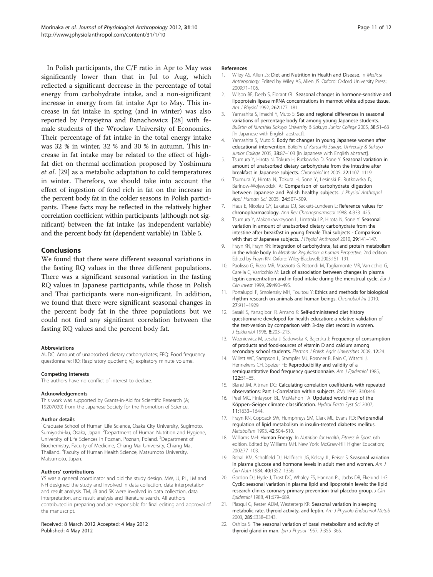<span id="page-10-0"></span>In Polish participants, the C/F ratio in Apr to May was significantly lower than that in Jul to Aug, which reflected a significant decrease in the percentage of total energy from carbohydrate intake, and a non-significant increase in energy from fat intake Apr to May. This increase in fat intake in spring (and in winter) was also reported by Przysiężna and Banachowicz [\[28\]](#page-11-0) with female students of the Wroclaw University of Economics. Their percentage of fat intake in the total energy intake was 32 % in winter, 32 % and 30 % in autumn. This increase in fat intake may be related to the effect of highfat diet on thermal acclimation proposed by Yoshimura et al. [\[29\]](#page-11-0) as a metabolic adaptation to cold temperatures in winter. Therefore, we should take into account the effect of ingestion of food rich in fat on the increase in the percent body fat in the colder seasons in Polish participants. These facts may be reflected in the relatively higher correlation coefficient within participants (although not significant) between the fat intake (as independent variable) and the percent body fat (dependent variable) in Table [5.](#page-7-0)

# Conclusions

We found that there were different seasonal variations in the fasting RQ values in the three different populations. There was a significant seasonal variation in the fasting RQ values in Japanese participants, while those in Polish and Thai participants were non-significant. In addition, we found that there were significant seasonal changes in the percent body fat in the three populations but we could not find any significant correlation between the fasting RQ values and the percent body fat.

#### Abbreviations

AUDC: Amount of unabsorbed dietary carbohydrates; FFQ: Food frequency questionnaire; RQ: Respiratory quotient; VE: expiratory minute volume.

#### Competing interests

The authors have no conflict of interest to declare.

#### Acknowledgements

This work was supported by Grants-in-Aid for Scientific Research (A; 19207020) from the Japanese Society for the Promotion of Science.

#### Author details

<sup>1</sup>Graduate School of Human Life Science, Osaka City University, Sugimoto, Sumiyoshi-ku, Osaka, Japan. <sup>2</sup>Department of Human Nutrition and Hygiene, University of Life Sciences in Poznan, Poznan, Poland. <sup>3</sup>Department of Biochemistry, Faculty of Medicine, Chiang Mai University, Chiang Mai, Thailand. <sup>4</sup> Faculty of Human Health Science, Matsumoto University, Matsumoto, Japan.

#### Authors' contributions

YS was a general coordinator and did the study design. MW, JJ, PL, LM and NH designed the study and involved in data collection, data interpretation and result analysis. TM, JB and SK were involved in data collection, data interpretation, and result analysis and literature search. All authors contributed in preparing and are responsible for final editing and approval of the manuscript.

#### Received: 8 March 2012 Accepted: 4 May 2012 Published: 4 May 2012

#### References

- Wiley AS, Allen JS: Diet and Nutrition in Health and Disease. In Medical Anthropology. Edited by Wiley AS, Allen JS. Oxford: Oxford University Press; 2009:71–106.
- 2. Wilson BE, Deeb S, Florant GL: Seasonal changes in hormone-sensitive and lipoprotein lipase mRNA concentrations in marmot white adipose tissue. Am J Physiol 1992, 262:177–181.
- 3. Yamashita S, Imachi Y, Muto S: Sex and regional differences in seasonal variations of percentage body fat among young Japanese students. Bulletin of Kurashiki Sakuyo University & Sakuyo Junior College 2005, 38:51–63 [In Japanese with English abstract].
- Yamashita S, Muto S: Body fat changes in young Japanese women after educational intervention. Bulletin of Kurashiki Sakuyo University & Sakuyo Junior College 2005, 38:87-103 [In Japanese with English abstract].
- 5. Tsumura Y, Hirota N, Tokura H, Rutkowska D, Sone Y: Seasonal variation in amount of unabsorbed dietary carbohydrate from the intestine after breakfast in Japanese subjects. Chronobiol Int 2005, 22:1107–1119.
- 6. Tsumura Y, Hirota N, Tokura H, Sone Y, Lesinski F, Rutkowska D, Barinow-Wojewodzki A: Comparison of carbohydrate digestion between Japanese and Polish healthy subjects. J Physiol Anthropol Appl Human Sci 2005, 24:507–509.
- 7. Haus E, Nicolau GY, Lakatua DJ, Sackett-Lundeen L: Reference values for chronopharmacology. Ann Rev Chronopharmacol 1988, 4:333–425.
- 8. Tsumura Y, Makonkawkeyoon L, Limtrakul P, Hirota N, Sone Y: Seasonal variation in amount of unabsorbed dietary carbohydrate from the intestine after breakfast in young female Thai subjects - Comparison with that of Japanese subjects. J Physiol Anthropol 2010, 29:141-147.
- 9. Frayn KN, Frayn KN: Integration of carbohydrate, fat and protein metabolism in the whole body. In Metabolic Regulation: a human Perspective, 2nd edition. Edited by Frayn KN. Oxford: Wiley-Blackwell; 2003:151–191.
- 10. Paolisso G, Rizzo MR, Mazziotti G, Rotondi M, Tagliamonte MR, Varricchio G, Carella C, Varricchio M: Lack of association between changes in plasma leptin concentration and in food intake during the menstrual cycle. Eur J Clin Invest 1999, 29:490–495.
- 11. Portaluppi F, Smolensky MH, Touitou Y: Ethics and methods for biological rhythm research on animals and human beings. Chronobiol Int 2010, 27:911–1929.
- 12. Sasaki S, Yanagibori R, Amano K: Self-administered diet history questionnaire developed for health education: a relative validation of the test-version by comparison with 3-day diet record in women. J Epidemiol 1998, 8:203–215.
- 13. Wozniewicz M, Jeszka J, Sadowska K, Bajerska J: Frequency of consumption of products and food-sources of vitamin D and calcium among secondary school students. Electron J Polish Agric Universities 2009, 12:24.
- 14. Willett WC, Sampson L, Stampfer MJ, Rosnner B, Bain C, Witschi J, Hennekens CH, Speizer FE: Reproducibility and validity of a semiquantitative food frequency questionnaire. Am J Epidemiol 1985, 122:51–65.
- 15. Bland JM, Altman DG: Calculating correlation coefficients with repeated observations: Part 1-Correlation within subjects. BMJ 1995, 310:446.
- 16. Peel MC, Finlayson BL, McMahon TA: Updated world map of the Köppen-Geiger climate classification. Hydrol Earth Syst Sci 2007, 11:1633–1644.
- 17. Frayn KN, Coppack SW, Humphreys SM, Clark ML, Evans RD: Periprandial regulation of lipid metabolism in insulin-treated diabetes mellitus. Metabolism 1993, 42:504–510.
- 18. Williams MH: Human Energy. In Nutrition for Health, Fitness & Sport. 6th edition. Edited by Williams MH. New York: McGraw-Hill Higher Education; 2002:77–103.
- 19. Behall KM, Scholfield DJ, Hallfrisch JG, Kelsay JL, Reiser S: Seasonal variation in plasma glucose and hormone levels in adult men and women. Am J Clin Nutri 1984, 40:1352–1356.
- 20. Gordon DJ, Hyde J, Trost DC, Whaley FS, Hannan PJ, Jacbs DR, Ekelund L-G: Cyclic seasonal variation in plasma lipid and lipoprotein levels: the lipid research clinics coronary primary prevention trial placebo group. J Clin Epidemiol 1988, 41:679–689.
- 21. Plasqui G, Kester ADM, Westerterp KR: Seasonal variation in sleeping metabolic rate, thyroid activity, and leptin. Am J Physiolo Endocrinol Metab 2003, 285:E338–E343.
- 22. Oshiba S: The seasonal variation of basal metabolism and activity of thyroid gland in man. Jpn J Physiol 1957, 7:355-365.